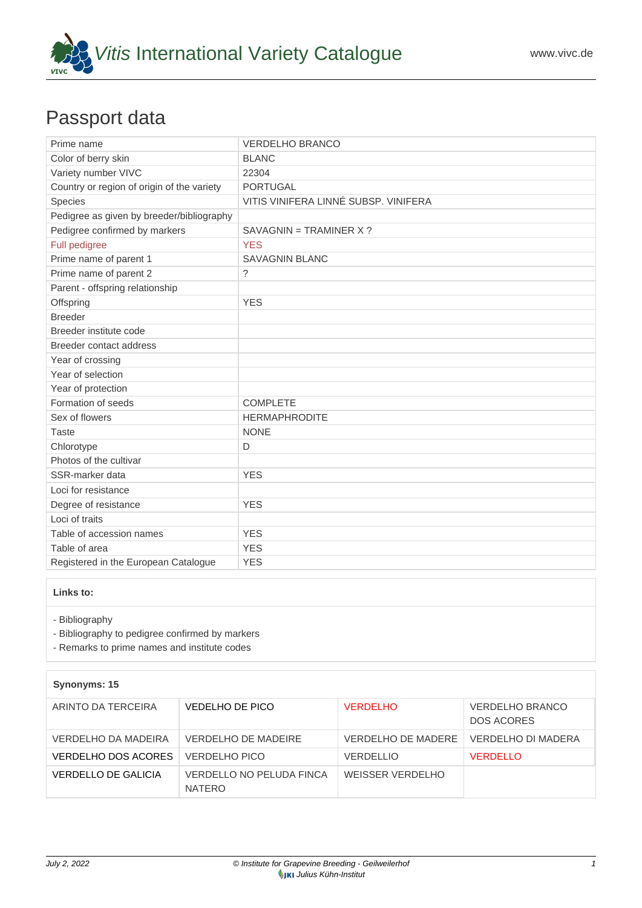

# Passport data

| Prime name                                 | <b>VERDELHO BRANCO</b>               |  |
|--------------------------------------------|--------------------------------------|--|
| Color of berry skin                        | <b>BLANC</b>                         |  |
| Variety number VIVC                        | 22304                                |  |
| Country or region of origin of the variety | <b>PORTUGAL</b>                      |  |
| Species                                    | VITIS VINIFERA LINNÉ SUBSP. VINIFERA |  |
| Pedigree as given by breeder/bibliography  |                                      |  |
| Pedigree confirmed by markers              | $SAVAGNIN = TRAMINER X$ ?            |  |
| Full pedigree                              | <b>YES</b>                           |  |
| Prime name of parent 1                     | <b>SAVAGNIN BLANC</b>                |  |
| Prime name of parent 2                     | ?                                    |  |
| Parent - offspring relationship            |                                      |  |
| Offspring                                  | <b>YES</b>                           |  |
| <b>Breeder</b>                             |                                      |  |
| Breeder institute code                     |                                      |  |
| Breeder contact address                    |                                      |  |
| Year of crossing                           |                                      |  |
| Year of selection                          |                                      |  |
| Year of protection                         |                                      |  |
| Formation of seeds                         | <b>COMPLETE</b>                      |  |
| Sex of flowers                             | <b>HERMAPHRODITE</b>                 |  |
| <b>Taste</b>                               | <b>NONE</b>                          |  |
| Chlorotype                                 | D                                    |  |
| Photos of the cultivar                     |                                      |  |
| SSR-marker data                            | <b>YES</b>                           |  |
| Loci for resistance                        |                                      |  |
| Degree of resistance                       | <b>YES</b>                           |  |
| Loci of traits                             |                                      |  |
| Table of accession names                   | <b>YES</b>                           |  |
| Table of area                              | <b>YES</b>                           |  |
| Registered in the European Catalogue       | <b>YES</b>                           |  |

## **Links to:**

- [Bibliography](https://www.vivc.de/index.php?r=literaturverweise%2Fbibliography&LiteraturverweiseSearch[kenn_nr2]=22304&LiteraturverweiseSearch[leitname2]=VERDELHO BRANCO)

- [Bibliography to pedigree confirmed by markers](https://www.vivc.de/index.php?var=22304&r=eva-analysis-mikrosatelliten-abstammungen%2Findex)

- [Remarks to prime names and institute codes](#page--1-0)

### **Synonyms: 15**

| ARINTO DA TERCEIRA  | VEDELHO DE PICO                    | <b>VERDELHO</b>    | <b>VERDELHO BRANCO</b><br>DOS ACORES |
|---------------------|------------------------------------|--------------------|--------------------------------------|
| VERDELHO DA MADEIRA | VERDELHO DE MADEIRE                | VERDELHO DE MADERE | VERDELHO DI MADERA                   |
| VERDELHO DOS ACORES | VERDELHO PICO                      | <b>VERDELLIO</b>   | <b>VERDELLO</b>                      |
| VERDELLO DE GALICIA | VERDELLO NO PELUDA FINCA<br>NATERO | WEISSER VERDELHO   |                                      |